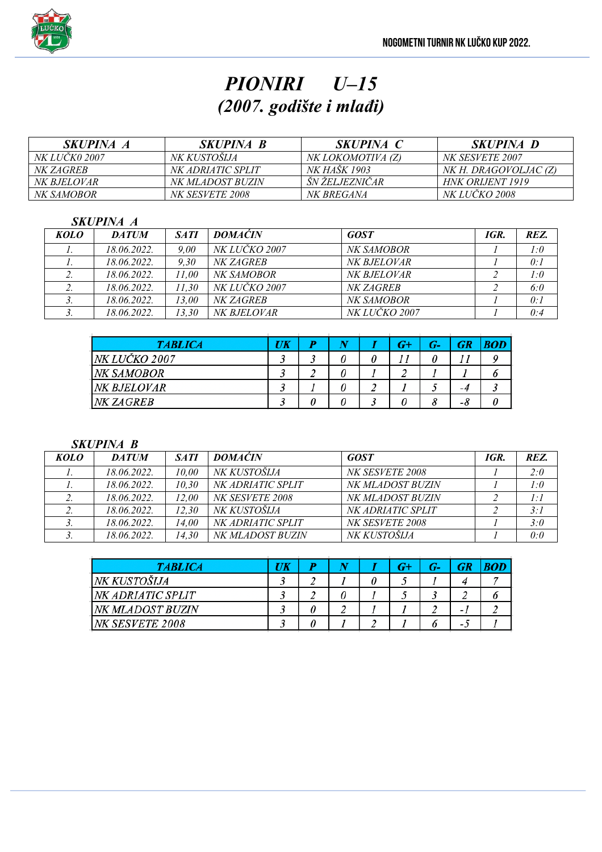

# *PIONIRI U–15 (2007. godište i mlađi)*

| <i>SKUPINA A</i>     | <i>SKUPINA B</i>       | <i>SKUPINA C</i>    | <i>SKUPINA D</i>      |
|----------------------|------------------------|---------------------|-----------------------|
| <i>NK LUCK0 2007</i> | NK KUSTOSLJA           | NK LOKOMOTIVA (Z)   | NK SESVETE 2007       |
| <i>NK ZAGREB</i>     | NK ADRIATIC SPLIT      | <i>NK HAŠK 1903</i> | NK H. DRAGOVOLJAC (Z) |
| <i>NK BJELOVAR</i>   | NK MLADOST BUZIN       | ŠN ŽELJEZNIČAR      | HNK ORIJENT 1919      |
| <i>NK SAMOBOR</i>    | <i>NK SESVETE 2008</i> | <i>NK BREGANA</i>   | <i>NK LUCKO 2008</i>  |

### *SKUPINA A*

| KOLO | <b>DATUM</b> | <b>SATI</b> | <b>DOMACIN</b>       | <b>GOST</b>          | IGR. | REZ. |
|------|--------------|-------------|----------------------|----------------------|------|------|
|      | 18.06.2022.  | 9.00        | NK LUČKO 2007        | <i>NK SAMOBOR</i>    |      | 1:0  |
|      | 18.06.2022.  | 9.30        | NK ZAGREB            | NK BJELOVAR          |      | 0:1  |
|      | 18.06.2022.  | 11.00       | NK SAMOBOR           | NK BJELOVAR          |      | 1:0  |
|      | 18.06.2022.  | 11.30       | <i>NK LUČKO 2007</i> | NK ZAGREB            |      | 6:0  |
| J.   | 18.06.2022.  | 13.00       | NK ZAGREB            | NK SAMOBOR           |      | 0:1  |
|      | 18.06.2022.  | 13.30       | NK BJELOVAR          | <i>NK LUČKO 2007</i> |      | 0:4  |

| <b>TABLICA</b> | UK |   |   | G- | <b>GR</b> |  |
|----------------|----|---|---|----|-----------|--|
| NK LUČKO 2007  |    | υ | υ |    |           |  |
| NK SAMOBOR     |    | U |   |    |           |  |
| NK BJELOVAR    |    | υ |   |    | -4        |  |
| NK ZAGREB      |    |   |   |    | -8        |  |

#### *SKUPINA B*

| KOLO | <b>DATUM</b> | <b>SATI</b> | <b>DOMACIN</b>    | <b>GOST</b>       | IGR. | REZ. |
|------|--------------|-------------|-------------------|-------------------|------|------|
|      | 18.06.2022.  | 10.00       | NK KUSTOŠIJA      | NK SESVETE 2008   |      | 2:0  |
|      | 18.06.2022.  | 10.30       | NK ADRIATIC SPLIT | NK MLADOST BUZIN  |      | 1:0  |
|      | 18.06.2022.  | 12.00       | NK SESVETE 2008   | NK MLADOST BUZIN  |      | 1:1  |
|      | 18.06.2022.  | 12.30       | NK KUSTOŠIJA      | NK ADRIATIC SPLIT |      | 3:1  |
|      | 18.06.2022.  | 14.00       | NK ADRIATIC SPLIT | NK SESVETE 2008   |      | 3:0  |
|      | 18.06.2022.  | 14.30       | NK MLADOST BUZIN  | NK KUSTOŠIJA      |      | 0:0  |

| <b>TABLICA</b>    | UK |  | G+ | G- | GR |  |
|-------------------|----|--|----|----|----|--|
| NK KUSTOŠIJA      |    |  |    |    |    |  |
| NK ADRIATIC SPLIT |    |  |    |    |    |  |
| NK MLADOST BUZIN  |    |  |    |    |    |  |
| NK SESVETE 2008   |    |  |    |    | -  |  |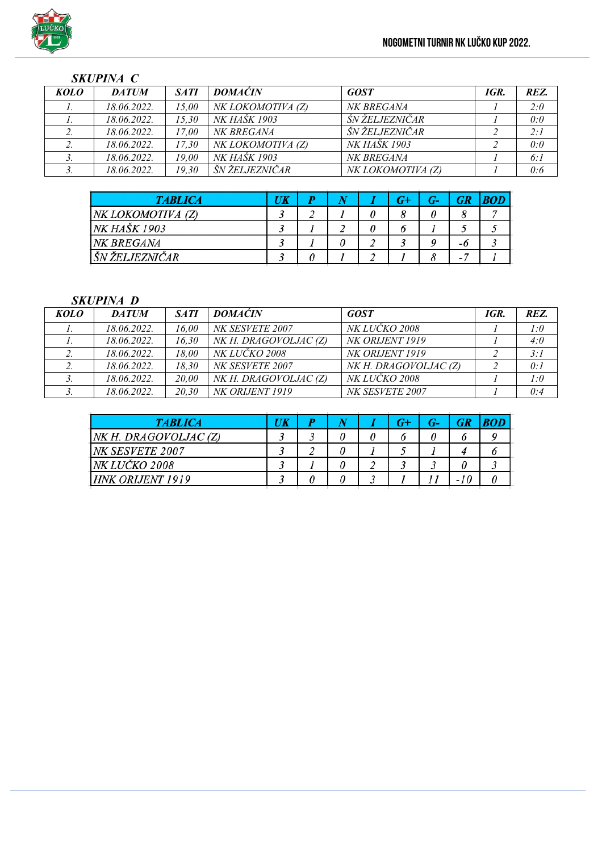### *SKUPINA C*

| <b>KOLO</b> | <b>DATUM</b> | <b>SATI</b> | <b>DOMAĆIN</b>    | <b>GOST</b>       | IGR. | REZ. |
|-------------|--------------|-------------|-------------------|-------------------|------|------|
|             | 18.06.2022.  | 15.00       | NK LOKOMOTIVA (Z) | NK BREGANA        |      | 2:0  |
|             | 18.06.2022.  | 15.30       | NK HAŠK 1903      | ŠN ŽELJEZNIČAR    |      | 0:0  |
|             | 18.06.2022.  | 17.00       | NK BREGANA        | ŠN ŽELJEZNIČAR    |      | 2:1  |
|             | 18.06.2022.  | 17.30       | NK LOKOMOTIVA (Z) | NK HAŠK 1903      |      | 0:0  |
|             | 18.06.2022.  | 19.00       | NK HAŠK 1903      | NK BREGANA        |      | 6:1  |
|             | 18.06.2022.  | 19.30       | ŠN ŽELJEZNIČAR    | NK LOKOMOTIVA (Z) |      | 0:6  |

| <b>TABLICA</b>    | UK |  |   |    |  |
|-------------------|----|--|---|----|--|
| NK LOKOMOTIVA (Z) |    |  |   | 8  |  |
| NK HAŠK 1903      |    |  | υ |    |  |
| NK BREGANA        |    |  |   | -0 |  |
| ŠN ŽELJEZNIČAR    |    |  |   |    |  |

### *SKUPINA D*

| <b>KOLO</b> | <b>DATUM</b> | <b>SATI</b> | <b>DOMACIN</b>        | <b>GOST</b>           | IGR. | REZ. |
|-------------|--------------|-------------|-----------------------|-----------------------|------|------|
|             | 18.06.2022.  | 16.00       | NK SESVETE 2007       | <i>NK LUČKO 2008</i>  |      | 1:0  |
|             | 18.06.2022.  | 16,30       | NK H. DRAGOVOLJAC (Z) | NK ORIJENT 1919       |      | 4:0  |
|             | 18.06.2022.  | 18.00       | <i>NK LUČKO 2008</i>  | NK ORLJENT 1919       |      | 3:1  |
|             | 18.06.2022.  | 18.30       | NK SESVETE 2007       | NK H. DRAGOVOLJAC (Z) |      | 0:1  |
|             | 18.06.2022.  | 20,00       | NK H. DRAGOVOLJAC (Z) | <i>NK LUČKO 2008</i>  |      | 1:0  |
|             | 18.06.2022.  | 20,30       | NK ORLJENT 1919       | NK SESVETE 2007       |      | 0:4  |

| <b>TABLICA</b>          | UK |   |  | $G-$ | <b>GR</b> |  |
|-------------------------|----|---|--|------|-----------|--|
| NK H. DRAGOVOLJAC (Z)   |    | υ |  |      | ο         |  |
| NK SESVETE 2007         |    | 0 |  |      |           |  |
| NK LUČKO 2008           |    |   |  |      |           |  |
| <b>HNK ORIJENT 1919</b> |    |   |  |      |           |  |